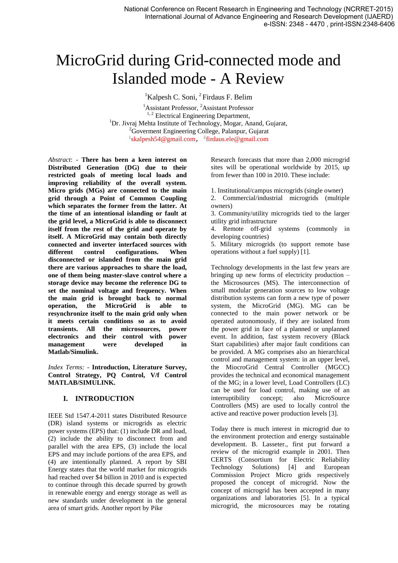# MicroGrid during Grid-connected mode and Islanded mode - A Review

<sup>1</sup>Kalpesh C. Soni, <sup>2</sup> Firdaus F. Belim

<sup>1</sup>Assistant Professor, <sup>2</sup>Assistant Professor  $<sup>1, 2</sup>$  Electrical Engineering Department,</sup> <sup>1</sup>Dr. Jivraj Mehta Institute of Technology, Mogar, Anand, Gujarat,  ${}^{2}$ Goverment Engineering College, Palanpur, Gujarat <sup>1</sup>skalpesh54@gmail.com, <sup>2</sup>firdaus.ele@gmail.com

*Abstract*: - **There has been a keen interest on Distributed Generation (DG) due to their restricted goals of meeting local loads and improving reliability of the overall system. Micro grids (MGs) are connected to the main grid through a Point of Common Coupling which separates the former from the latter. At the time of an intentional islanding or fault at the grid level, a MicroGrid is able to disconnect itself from the rest of the grid and operate by itself. A MicroGrid may contain both directly connected and inverter interfaced sources with different control configurations. When disconnected or islanded from the main grid there are various approaches to share the load, one of them being master-slave control where a storage device may become the reference DG to set the nominal voltage and frequency. When the main grid is brought back to normal operation, the MicroGrid is able to resynchronize itself to the main grid only when it meets certain conditions so as to avoid transients. All the microsources, power electronics and their control with power management were developed in Matlab/Simulink.**

*Index Terms:* - **Introduction, Literature Survey, Control Strategy, PQ Control, V/f Control MATLAB/SIMULINK.**

## **I. INTRODUCTION**

IEEE Std 1547.4-2011 states Distributed Resource (DR) island systems or microgrids as electric power systems (EPS) that: (1) include DR and load, (2) include the ability to disconnect from and parallel with the area EPS, (3) include the local EPS and may include portions of the area EPS, and (4) are intentionally planned. A report by SBI Energy states that the world market for microgrids had reached over \$4 billion in 2010 and is expected to continue through this decade spurred by growth in renewable energy and energy storage as well as new standards under development in the general area of smart grids. Another report by Pike

Research forecasts that more than 2,000 microgrid sites will be operational worldwide by 2015, up from fewer than 100 in 2010. These include:

1. Institutional/campus microgrids (single owner)

2. Commercial/industrial microgrids (multiple owners)

3. Community/utility microgrids tied to the larger utility grid infrastructure

4. Remote off-grid systems (commonly in developing countries)

5. Military microgrids (to support remote base operations without a fuel supply) [1].

Technology developments in the last few years are bringing up new forms of electricity production – the Microsources (MS). The interconnection of small modular generation sources to low voltage distribution systems can form a new type of power system, the MicroGrid (MG). MG can be connected to the main power network or be operated autonomously, if they are isolated from the power grid in face of a planned or unplanned event. In addition, fast system recovery (Black Start capabilities) after major fault conditions can be provided. A MG comprises also an hierarchical control and management system: in an upper level, the MiocroGrid Central Controller (MGCC) provides the technical and economical management of the MG; in a lower level, Load Controllers (LC) can be used for load control, making use of an interruptibility concept; also MicroSource Controllers (MS) are used to locally control the active and reactive power production levels [3].

Today there is much interest in microgrid due to the environment protection and energy sustainable development. B. Lasseter., first put forward a review of the microgrid example in 2001. Then CERTS (Consortium for Electric Reliability Technology Solutions) [4] and European Commission Project Micro grids respectively proposed the concept of microgrid. Now the concept of microgrid has been accepted in many organizations and laboratories [5]. In a typical microgrid, the microsources may be rotating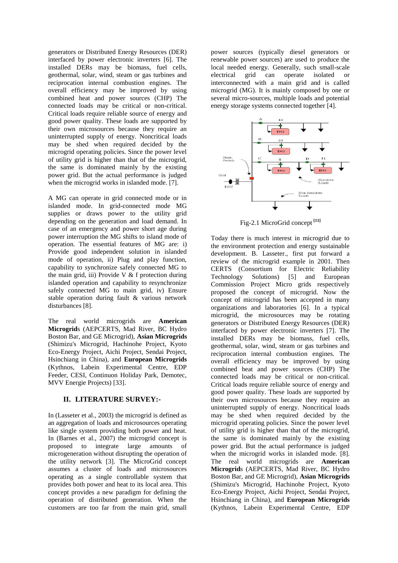generators or Distributed Energy Resources (DER) interfaced by power electronic inverters [6]. The installed DERs may be biomass, fuel cells, geothermal, solar, wind, steam or gas turbines and reciprocation internal combustion engines. The overall efficiency may be improved by using combined heat and power sources (CHP) The connected loads may be critical or non-critical. Critical loads require reliable source of energy and good power quality. These loads are supported by their own microsources because they require an uninterrupted supply of energy. Noncritical loads may be shed when required decided by the microgrid operating policies. Since the power level of utility grid is higher than that of the microgrid, the same is dominated mainly by the existing power grid. But the actual performance is judged when the microgrid works in islanded mode. [7].

A MG can operate in grid connected mode or in islanded mode. In grid-connected mode MG supplies or draws power to the utility grid depending on the generation and load demand. In case of an emergency and power short age during power interruption the MG shifts to island mode of operation. The essential features of MG are: i) Provide good independent solution in islanded mode of operation, ii) Plug and play function, capability to synchronize safely connected MG to the main grid, iii) Provide V  $&$  f protection during islanded operation and capability to resynchronize safely connected MG to main grid, iv) Ensure stable operation during fault & various network disturbances [8].

The real world microgrids are **American Microgrid**s (AEPCERTS, Mad River, BC Hydro Boston Bar, and GE Microgrid), **Asian Microgrids** (Shimizu's Microgrid, Hachinohe Project, Kyoto Eco-Energy Project, Aichi Project, Sendai Project, Hsinchiang in China), and **European Microgrids** (Kythnos, Labein Experimental Centre, EDP Feeder, CESI, Continuon Holiday Park, Demotec, MVV Energie Projects) [33].

#### **II. LITERATURE SURVEY:-**

In (Lasseter et al., 2003) the microgrid is defined as an aggregation of loads and microsources operating like single system providing both power and heat. In (Barnes et al., 2007) the microgrid concept is proposed to integrate large amounts of microgeneration without disrupting the operation of the utility network [3]. The MicroGrid concept assumes a cluster of loads and microsources operating as a single controllable system that provides both power and heat to its local area. This concept provides a new paradigm for defining the operation of distributed generation. When the customers are too far from the main grid, small

power sources (typically diesel generators or renewable power sources) are used to produce the local needed energy. Generally, such small-scale electrical grid can operate isolated or interconnected with a main grid and is called microgrid (MG). It is mainly composed by one or several micro-sources, multiple loads and potential energy storage systems connected together [4].



Fig-2.1 MicroGrid concept **[11]**

Today there is much interest in microgrid due to the environment protection and energy sustainable development. B. Lasseter., first put forward a review of the microgrid example in 2001. Then CERTS (Consortium for Electric Reliability Technology Solutions) [5] and European Commission Project Micro grids respectively proposed the concept of microgrid. Now the concept of microgrid has been accepted in many organizations and laboratories [6]. In a typical microgrid, the microsources may be rotating generators or Distributed Energy Resources (DER) interfaced by power electronic inverters [7]. The installed DERs may be biomass, fuel cells, geothermal, solar, wind, steam or gas turbines and reciprocation internal combustion engines. The overall efficiency may be improved by using combined heat and power sources (CHP) The connected loads may be critical or non-critical. Critical loads require reliable source of energy and good power quality. These loads are supported by their own microsources because they require an uninterrupted supply of energy. Noncritical loads may be shed when required decided by the microgrid operating policies. Since the power level of utility grid is higher than that of the microgrid, the same is dominated mainly by the existing power grid. But the actual performance is judged when the microgrid works in islanded mode. [8]. The real world microgrids are **American Microgrid**s (AEPCERTS, Mad River, BC Hydro Boston Bar, and GE Microgrid), **Asian Microgrids** (Shimizu's Microgrid, Hachinohe Project, Kyoto Eco-Energy Project, Aichi Project, Sendai Project, Hsinchiang in China), and **European Microgrids** (Kythnos, Labein Experimental Centre, EDP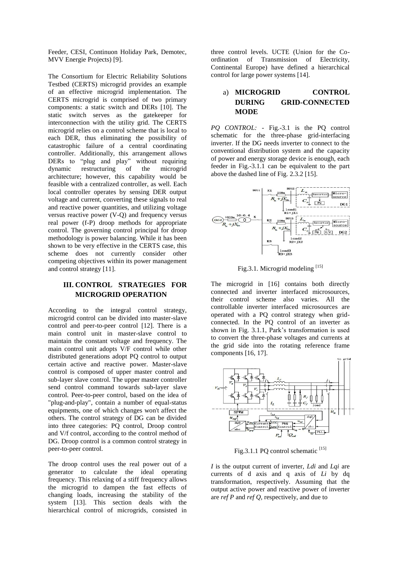Feeder, CESI, Continuon Holiday Park, Demotec, MVV Energie Projects) [9].

The Consortium for Electric Reliability Solutions Testbed (CERTS) microgrid provides an example of an effective microgrid implementation. The CERTS microgrid is comprised of two primary components: a static switch and DERs [10]. The static switch serves as the gatekeeper for interconnection with the utility grid. The CERTS microgrid relies on a control scheme that is local to each DER, thus eliminating the possibility of catastrophic failure of a central coordinating controller. Additionally, this arrangement allows DERs to "plug and play" without requiring dynamic restructuring of the microgrid architecture; however, this capability would be feasible with a centralized controller, as well. Each local controller operates by sensing DER output voltage and current, converting these signals to real and reactive power quantities, and utilizing voltage versus reactive power (V-Q) and frequency versus real power (f-P) droop methods for appropriate control. The governing control principal for droop methodology is power balancing. While it has been shown to be very effective in the CERTS case, this scheme does not currently consider other competing objectives within its power management and control strategy [11].

## **III. CONTROL STRATEGIES FOR MICROGRID OPERATION**

According to the integral control strategy, microgrid control can be divided into master-slave control and peer-to-peer control [12]. There is a main control unit in master-slave control to maintain the constant voltage and frequency. The main control unit adopts V/F control while other distributed generations adopt PQ control to output certain active and reactive power. Master-slave control is composed of upper master control and sub-layer slave control. The upper master controller send control command towards sub-layer slave control. Peer-to-peer control, based on the idea of "plug-and-play", contain a number of equal-status equipments, one of which changes won't affect the others. The control strategy of DG can be divided into three categories: PQ control, Droop control and V/f control, according to the control method of DG. Droop control is a common control strategy in peer-to-peer control.

The droop control uses the real power out of a generator to calculate the ideal operating frequency. This relaxing of a stiff frequency allows the microgrid to dampen the fast effects of changing loads, increasing the stability of the system [13]. This section deals with the hierarchical control of microgrids, consisted in

three control levels. UCTE (Union for the Coordination of Transmission of Electricity, Continental Europe) have defined a hierarchical control for large power systems [14].

## a) **MICROGRID CONTROL DURING GRID-CONNECTED MODE**

*PQ CONTROL: -* Fig.-3.1 is the PQ control schematic for the three-phase grid-interfacing inverter. If the DG needs inverter to connect to the conventional distribution system and the capacity of power and energy storage device is enough, each feeder in Fig.-3.1.1 can be equivalent to the part above the dashed line of Fig. 2.3.2 [15].



Fig.3.1. Microgrid modeling  $^{[15]}$ 

The microgrid in [16] contains both directly connected and inverter interfaced microsources, their control scheme also varies. All the controllable inverter interfaced microsources are operated with a PQ control strategy when gridconnected. In the PQ control of an inverter as shown in Fig. 3.1.1, Park's transformation is used to convert the three-phase voltages and currents at the grid side into the rotating reference frame components [16, 17].



Fig.3.1.1 PQ control schematic [15]

*I* is the output current of inverter, *Ldi* and *Lqi* are currents of d axis and q axis of *Li* by dq transformation, respectively. Assuming that the output active power and reactive power of inverter are *ref P* and *ref Q,* respectively, and due to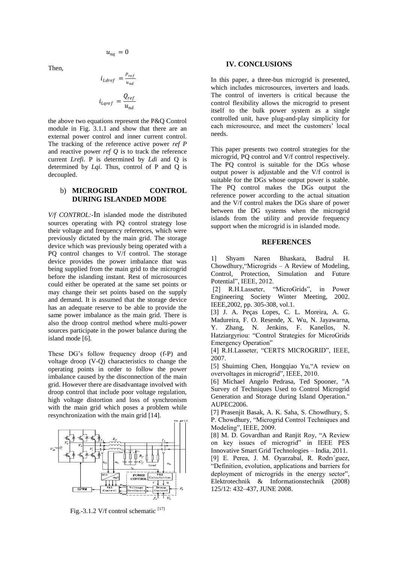$$
u_{nq}=0
$$

Then,

$$
i_{Ldref} = \frac{P_{ref}}{u_{nd}}
$$

$$
i_{Lqref} = \frac{Q_{ref}}{u_{nd}}
$$

the above two equations represent the P&Q Control module in Fig. 3.1.1 and show that there are an external power control and inner current control. The tracking of the reference active power *ref P*  and reactive power *ref Q* is to track the reference current *Lrefi*. P is determined by *Ldi* and Q is determined by *Lqi*. Thus, control of P and Q is decoupled.

## b) **MICROGRID CONTROL DURING ISLANDED MODE**

*V/f CONTROL:-*In islanded mode the distributed sources operating with PQ control strategy lose their voltage and frequency references, which were previously dictated by the main grid. The storage device which was previously being operated with a PQ control changes to V/f control. The storage device provides the power imbalance that was being supplied from the main grid to the microgrid before the islanding instant. Rest of microsources could either be operated at the same set points or may change their set points based on the supply and demand. It is assumed that the storage device has an adequate reserve to be able to provide the same power imbalance as the main grid. There is also the droop control method where multi-power sources participate in the power balance during the island mode [6].

These DG's follow frequency droop (f-P) and voltage droop (V-Q) characteristics to change the operating points in order to follow the power imbalance caused by the disconnection of the main grid. However there are disadvantage involved with droop control that include poor voltage regulation, high voltage distortion and loss of synchronism with the main grid which poses a problem while resynchronization with the main grid [14].



Fig.-3.1.2 V/f control schematic  $^{[17]}$ 

### **IV. CONCLUSIONS**

In this paper, a three-bus microgrid is presented, which includes microsources, inverters and loads. The control of inverters is critical because the control flexibility allows the microgrid to present itself to the bulk power system as a single controlled unit, have plug-and-play simplicity for each microsource, and meet the customers' local needs.

This paper presents two control strategies for the microgrid, PQ control and V/f control respectively. The PQ control is suitable for the DGs whose output power is adjustable and the V/f control is suitable for the DGs whose output power is stable. The PQ control makes the DGs output the reference power according to the actual situation and the V/f control makes the DGs share of power between the DG systems when the microgrid islands from the utility and provide frequency support when the microgrid is in islanded mode.

#### **REFERENCES**

1] Shyam Naren Bhaskara, Badrul H. Chowdhury,"Microgrids – A Review of Modeling, Control, Protection, Simulation and Future Potential", IEEE, 2012.<br>[2] R.H.Lasseter, "MicroGrids",

[2] R.H.Lasseter, "MicroGrids", in Power Engineering Society Winter Meeting, 2002. IEEE,2002, pp. 305-308, vol.1.

[3] J. A. Peças Lopes, C. L. Moreira, A. G. Madureira, F. O. Resende, X. Wu, N. Jayawarna, Y. Zhang, N. Jenkins, F. Kanellos, N. Hatziargyriou: "Control Strategies for MicroGrids Emergency Operation"

[4] R.H.Lasseter, "CERTS MICROGRID", IEEE, 2007.

[5] Shuiming Chen, Hongqiao Yu,"A review on overvoltages in microgrid", IEEE, 2010.

[6] Michael Angelo Pedrasa, Ted Spooner, "A Survey of Techniques Used to Control Microgrid Generation and Storage during Island Operation." AUPEC2006.

[7] Prasenjit Basak, A. K. Saha, S. Chowdhury, S. P. Chowdhury, "Microgrid Control Techniques and Modeling", IEEE, 2009.

[8] M. D. Govardhan and Ranjit Roy, "A Review on key issues of microgrid" in IEEE PES Innovative Smart Grid Technologies – India, 2011.

[9] E. Perea, J. M. Oyarzabal, R. Rodrı´guez, "Definition, evolution, applications and barriers for deployment of microgrids in the energy sector", Elektrotechnik & Informationstechnik (2008) 125/12: 432–437, JUNE 2008.